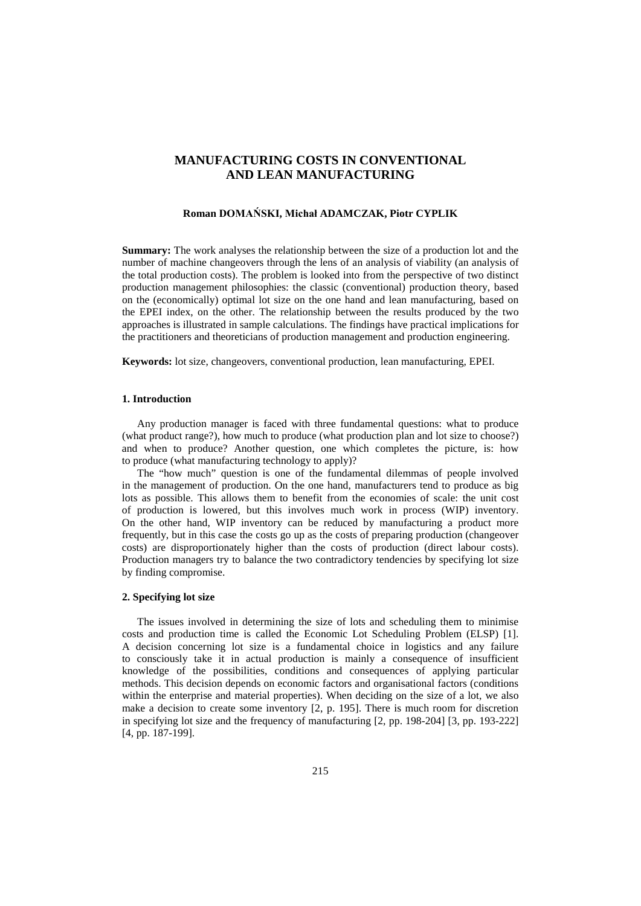# **MANUFACTURING COSTS IN CONVENTIONAL AND LEAN MANUFACTURING**

#### **Roman DOMAŃSKI, Michał ADAMCZAK, Piotr CYPLIK**

**Summary:** The work analyses the relationship between the size of a production lot and the number of machine changeovers through the lens of an analysis of viability (an analysis of the total production costs). The problem is looked into from the perspective of two distinct production management philosophies: the classic (conventional) production theory, based on the (economically) optimal lot size on the one hand and lean manufacturing, based on the EPEI index, on the other. The relationship between the results produced by the two approaches is illustrated in sample calculations. The findings have practical implications for the practitioners and theoreticians of production management and production engineering.

**Keywords:** lot size, changeovers, conventional production, lean manufacturing, EPEI.

# **1. Introduction**

Any production manager is faced with three fundamental questions: what to produce (what product range?), how much to produce (what production plan and lot size to choose?) and when to produce? Another question, one which completes the picture, is: how to produce (what manufacturing technology to apply)?

The "how much" question is one of the fundamental dilemmas of people involved in the management of production. On the one hand, manufacturers tend to produce as big lots as possible. This allows them to benefit from the economies of scale: the unit cost of production is lowered, but this involves much work in process (WIP) inventory. On the other hand, WIP inventory can be reduced by manufacturing a product more frequently, but in this case the costs go up as the costs of preparing production (changeover costs) are disproportionately higher than the costs of production (direct labour costs). Production managers try to balance the two contradictory tendencies by specifying lot size by finding compromise.

#### **2. Specifying lot size**

The issues involved in determining the size of lots and scheduling them to minimise costs and production time is called the Economic Lot Scheduling Problem (ELSP) [1]. A decision concerning lot size is a fundamental choice in logistics and any failure to consciously take it in actual production is mainly a consequence of insufficient knowledge of the possibilities, conditions and consequences of applying particular methods. This decision depends on economic factors and organisational factors (conditions within the enterprise and material properties). When deciding on the size of a lot, we also make a decision to create some inventory [2, p. 195]. There is much room for discretion in specifying lot size and the frequency of manufacturing [2, pp. 198-204] [3, pp. 193-222] [4, pp. 187-199].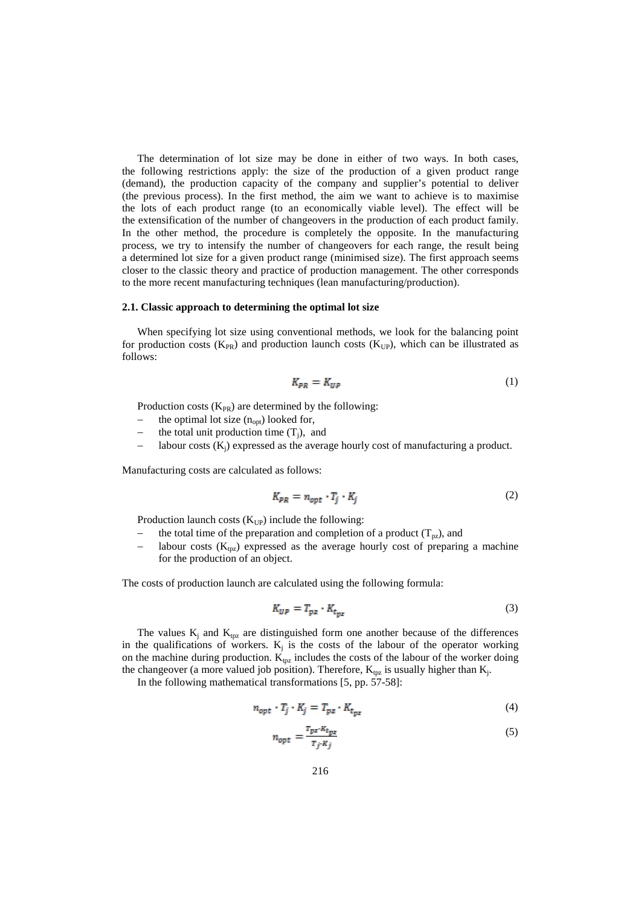The determination of lot size may be done in either of two ways. In both cases, the following restrictions apply: the size of the production of a given product range (demand), the production capacity of the company and supplier's potential to deliver (the previous process). In the first method, the aim we want to achieve is to maximise the lots of each product range (to an economically viable level). The effect will be the extensification of the number of changeovers in the production of each product family. In the other method, the procedure is completely the opposite. In the manufacturing process, we try to intensify the number of changeovers for each range, the result being a determined lot size for a given product range (minimised size). The first approach seems closer to the classic theory and practice of production management. The other corresponds to the more recent manufacturing techniques (lean manufacturing/production).

#### **2.1. Classic approach to determining the optimal lot size**

When specifying lot size using conventional methods, we look for the balancing point for production costs ( $K_{PR}$ ) and production launch costs ( $K_{UP}$ ), which can be illustrated as follows:

$$
K_{PR} = K_{UP} \tag{1}
$$

Production costs  $(K_{PR})$  are determined by the following:

- the optimal lot size  $(n_{\text{out}})$  looked for,
- the total unit production time  $(T_i)$ , and
- labour costs  $(K_i)$  expressed as the average hourly cost of manufacturing a product.

Manufacturing costs are calculated as follows:

$$
K_{PR} = n_{opt} \cdot T_i \cdot K_i \tag{2}
$$

Production launch costs  $(K_{UP})$  include the following:

- the total time of the preparation and completion of a product ( $T_{pz}$ ), and
- labour costs ( $K_{\text{tpz}}$ ) expressed as the average hourly cost of preparing a machine for the production of an object.

The costs of production launch are calculated using the following formula:

$$
K_{UP} = T_{pz} \cdot K_{t_{pz}} \tag{3}
$$

The values  $K_i$  and  $K_{tpz}$  are distinguished form one another because of the differences in the qualifications of workers.  $K_j$  is the costs of the labour of the operator working on the machine during production.  $K_{tpz}$  includes the costs of the labour of the worker doing the changeover (a more valued job position). Therefore,  $K_{\text{tpz}}$  is usually higher than  $K_i$ .

In the following mathematical transformations [5, pp. 57-58]:

$$
n_{opt} \cdot T_j \cdot K_j = T_{pz} \cdot K_{t_{pz}} \tag{4}
$$

$$
n_{opt} = \frac{x_{px} \cdot \kappa_{tpz}}{x_j \cdot \kappa_j} \tag{5}
$$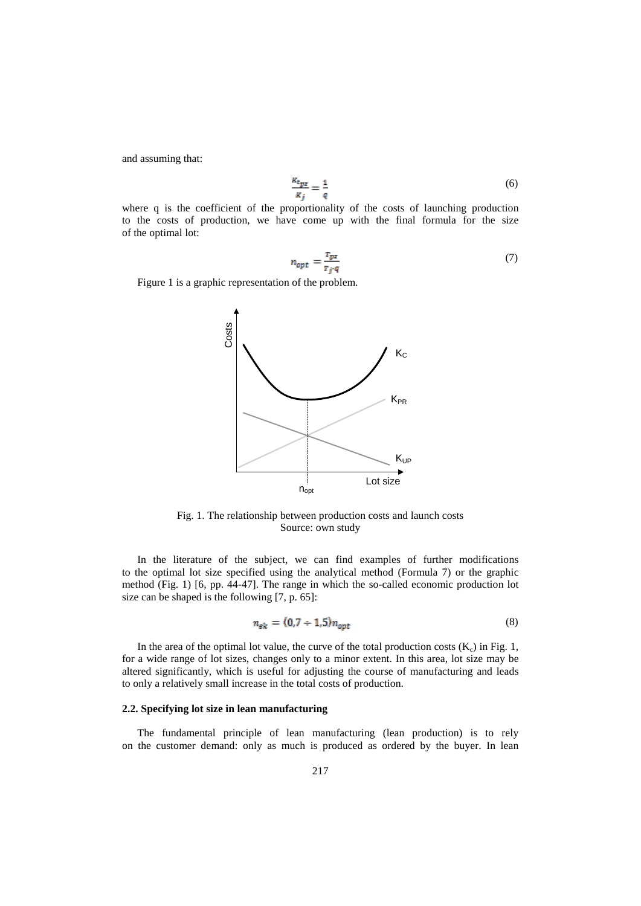and assuming that:

$$
\frac{\kappa_{t_{px}}}{\kappa_{j}} = \frac{1}{q} \tag{6}
$$

where q is the coefficient of the proportionality of the costs of launching production to the costs of production, we have come up with the final formula for the size of the optimal lot:

$$
n_{opt} = \frac{x_{px}}{x_{j \cdot q}}\tag{7}
$$

Figure 1 is a graphic representation of the problem.



Fig. 1. The relationship between production costs and launch costs Source: own study

In the literature of the subject, we can find examples of further modifications to the optimal lot size specified using the analytical method (Formula 7) or the graphic method (Fig. 1) [6, pp. 44-47]. The range in which the so-called economic production lot size can be shaped is the following [7, p. 65]:

$$
n_{\rm sk} = (0.7 \div 1.5)n_{\rm opt} \tag{8}
$$

In the area of the optimal lot value, the curve of the total production costs  $(K_c)$  in Fig. 1, for a wide range of lot sizes, changes only to a minor extent. In this area, lot size may be altered significantly, which is useful for adjusting the course of manufacturing and leads to only a relatively small increase in the total costs of production.

### **2.2. Specifying lot size in lean manufacturing**

The fundamental principle of lean manufacturing (lean production) is to rely on the customer demand: only as much is produced as ordered by the buyer. In lean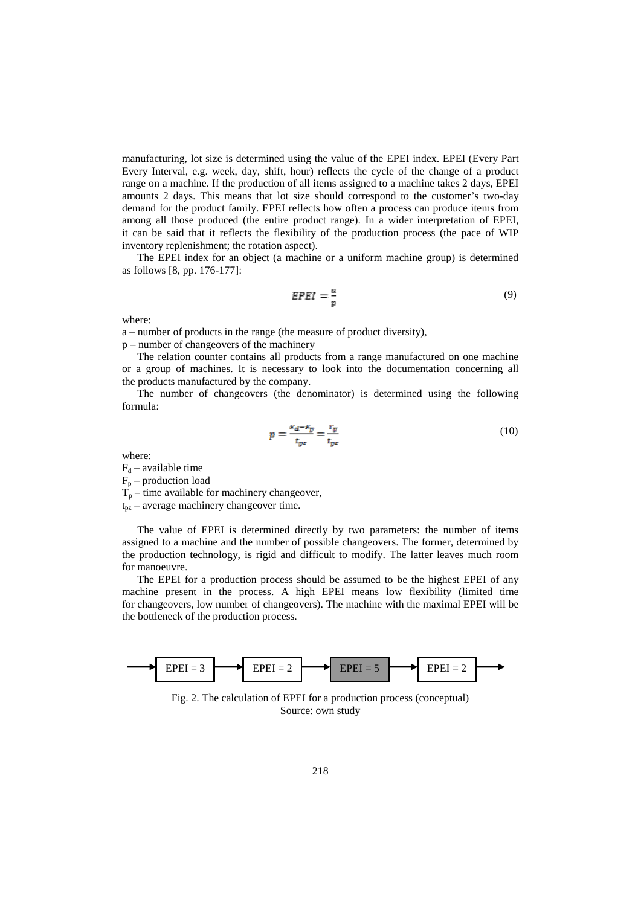manufacturing, lot size is determined using the value of the EPEI index. EPEI (Every Part Every Interval, e.g. week, day, shift, hour) reflects the cycle of the change of a product range on a machine. If the production of all items assigned to a machine takes 2 days, EPEI amounts 2 days. This means that lot size should correspond to the customer's two-day demand for the product family. EPEI reflects how often a process can produce items from among all those produced (the entire product range). In a wider interpretation of EPEI, it can be said that it reflects the flexibility of the production process (the pace of WIP inventory replenishment; the rotation aspect).

The EPEI index for an object (a machine or a uniform machine group) is determined as follows [8, pp. 176-177]:

$$
EPEI = \frac{a}{p} \tag{9}
$$

where:

a – number of products in the range (the measure of product diversity),

p – number of changeovers of the machinery

The relation counter contains all products from a range manufactured on one machine or a group of machines. It is necessary to look into the documentation concerning all the products manufactured by the company.

The number of changeovers (the denominator) is determined using the following formula:

$$
p = \frac{\nu_d - \nu_p}{t_{px}} = \frac{v_p}{t_{px}}\tag{10}
$$

where:

 $F_d$  – available time

 $F_p$  – production load

 $T_p$  – time available for machinery changeover,

 $t_{pz}$  – average machinery changeover time.

The value of EPEI is determined directly by two parameters: the number of items assigned to a machine and the number of possible changeovers. The former, determined by the production technology, is rigid and difficult to modify. The latter leaves much room for manoeuvre.

The EPEI for a production process should be assumed to be the highest EPEI of any machine present in the process. A high EPEI means low flexibility (limited time for changeovers, low number of changeovers). The machine with the maximal EPEI will be the bottleneck of the production process.



Fig. 2. The calculation of EPEI for a production process (conceptual) Source: own study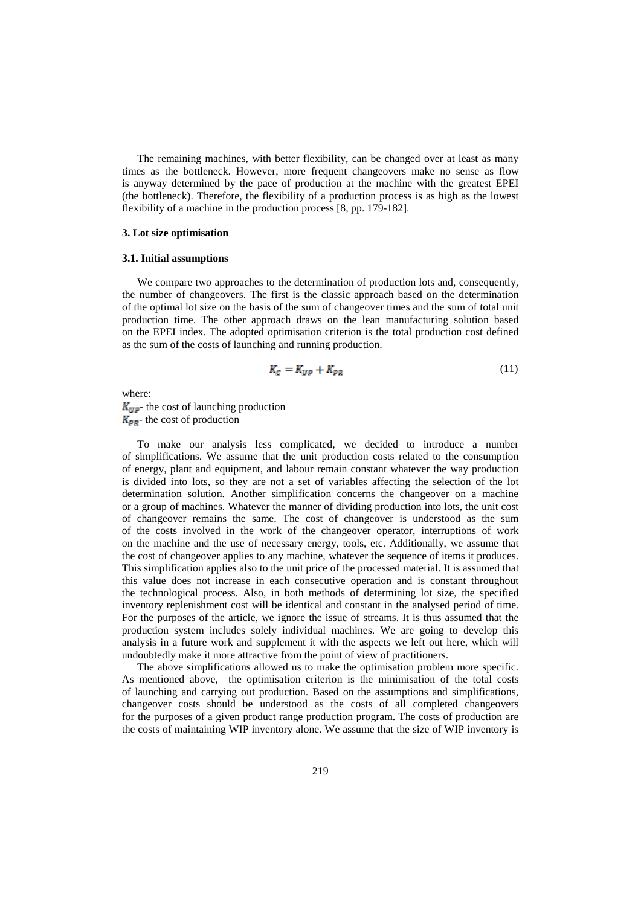The remaining machines, with better flexibility, can be changed over at least as many times as the bottleneck. However, more frequent changeovers make no sense as flow is anyway determined by the pace of production at the machine with the greatest EPEI (the bottleneck). Therefore, the flexibility of a production process is as high as the lowest flexibility of a machine in the production process [8, pp. 179-182].

### **3. Lot size optimisation**

### **3.1. Initial assumptions**

We compare two approaches to the determination of production lots and, consequently, the number of changeovers. The first is the classic approach based on the determination of the optimal lot size on the basis of the sum of changeover times and the sum of total unit production time. The other approach draws on the lean manufacturing solution based on the EPEI index. The adopted optimisation criterion is the total production cost defined as the sum of the costs of launching and running production.

$$
K_{\mathcal{C}} = K_{UP} + K_{PR} \tag{11}
$$

where:  $K_{UP}$ - the cost of launching production  $K_{\text{PR}}$  the cost of production

To make our analysis less complicated, we decided to introduce a number of simplifications. We assume that the unit production costs related to the consumption of energy, plant and equipment, and labour remain constant whatever the way production is divided into lots, so they are not a set of variables affecting the selection of the lot determination solution. Another simplification concerns the changeover on a machine or a group of machines. Whatever the manner of dividing production into lots, the unit cost of changeover remains the same. The cost of changeover is understood as the sum of the costs involved in the work of the changeover operator, interruptions of work on the machine and the use of necessary energy, tools, etc. Additionally, we assume that the cost of changeover applies to any machine, whatever the sequence of items it produces. This simplification applies also to the unit price of the processed material. It is assumed that this value does not increase in each consecutive operation and is constant throughout the technological process. Also, in both methods of determining lot size, the specified inventory replenishment cost will be identical and constant in the analysed period of time. For the purposes of the article, we ignore the issue of streams. It is thus assumed that the production system includes solely individual machines. We are going to develop this analysis in a future work and supplement it with the aspects we left out here, which will undoubtedly make it more attractive from the point of view of practitioners.

The above simplifications allowed us to make the optimisation problem more specific. As mentioned above, the optimisation criterion is the minimisation of the total costs of launching and carrying out production. Based on the assumptions and simplifications, changeover costs should be understood as the costs of all completed changeovers for the purposes of a given product range production program. The costs of production are the costs of maintaining WIP inventory alone. We assume that the size of WIP inventory is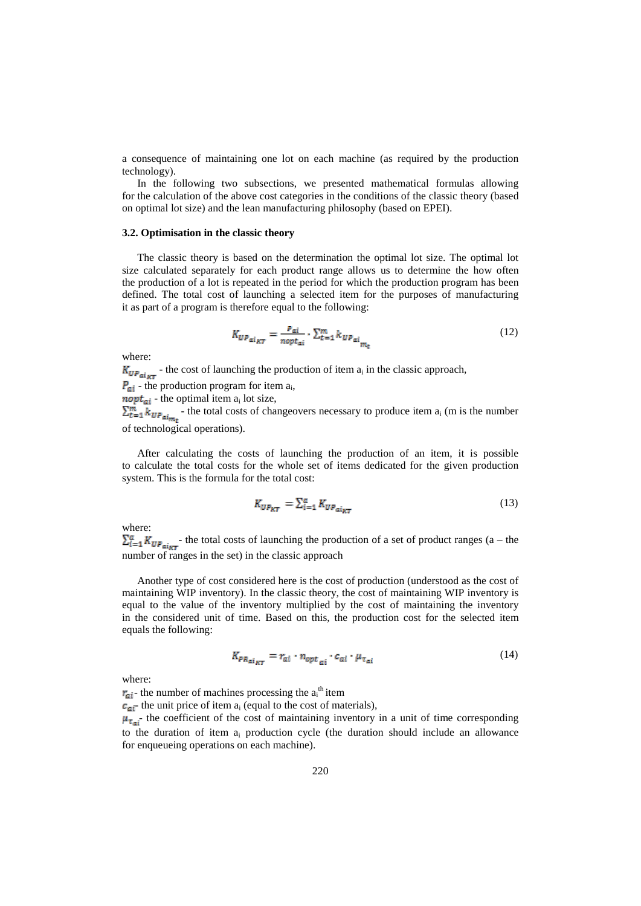a consequence of maintaining one lot on each machine (as required by the production technology).

In the following two subsections, we presented mathematical formulas allowing for the calculation of the above cost categories in the conditions of the classic theory (based on optimal lot size) and the lean manufacturing philosophy (based on EPEI).

#### **3.2. Optimisation in the classic theory**

The classic theory is based on the determination the optimal lot size. The optimal lot size calculated separately for each product range allows us to determine the how often the production of a lot is repeated in the period for which the production program has been defined. The total cost of launching a selected item for the purposes of manufacturing it as part of a program is therefore equal to the following:

$$
K_{UP_{\alpha i_{KT}}} = \frac{P_{\alpha i}}{n \omega_{\alpha i}} \cdot \sum_{t=1}^{m} k_{UP_{\alpha i_{\alpha i_{\alpha i_{\alpha}}}}} \tag{12}
$$

where:

 $K_{UP_{\alpha i_{\text{RT}}}}$  the cost of launching the production of item  $a_i$  in the classic approach,

 $\mathbf{P}_{\text{crit}}$  - the production program for item  $a_i$ ,

**nopt**<sub>ai</sub> - the optimal item  $a_i$  lot size,

 $\sum_{t=1}^{m} k_{UP_{\text{align}}}$  the total costs of changeovers necessary to produce item  $a_i$  (m is the number of technological operations).

After calculating the costs of launching the production of an item, it is possible to calculate the total costs for the whole set of items dedicated for the given production system. This is the formula for the total cost:

$$
K_{UP_{KT}} = \sum_{i=1}^{\alpha} K_{UP_{\alpha i_{KT}}} \tag{13}
$$

where:

 $\sum_{i=1}^{a} K_{UP_{\text{orig}}^*}$  the total costs of launching the production of a set of product ranges (a – the number of ranges in the set) in the classic approach

Another type of cost considered here is the cost of production (understood as the cost of maintaining WIP inventory). In the classic theory, the cost of maintaining WIP inventory is equal to the value of the inventory multiplied by the cost of maintaining the inventory in the considered unit of time. Based on this, the production cost for the selected item equals the following:

$$
K_{PR_{\alpha i_{RT}}} = r_{\alpha i} \cdot n_{\text{opt}_{\alpha i}} \cdot c_{\alpha i} \cdot \mu_{\tau_{\alpha i}} \tag{14}
$$

where:

- the number of machines processing the  $a_i$ <sup>th</sup> item

 $\epsilon_{\text{min}}$  the unit price of item  $a_i$  (equal to the cost of materials),

 $\mu_{\tau_{\text{crit}}}$  the coefficient of the cost of maintaining inventory in a unit of time corresponding to the duration of item  $a_i$  production cycle (the duration should include an allowance for enqueueing operations on each machine).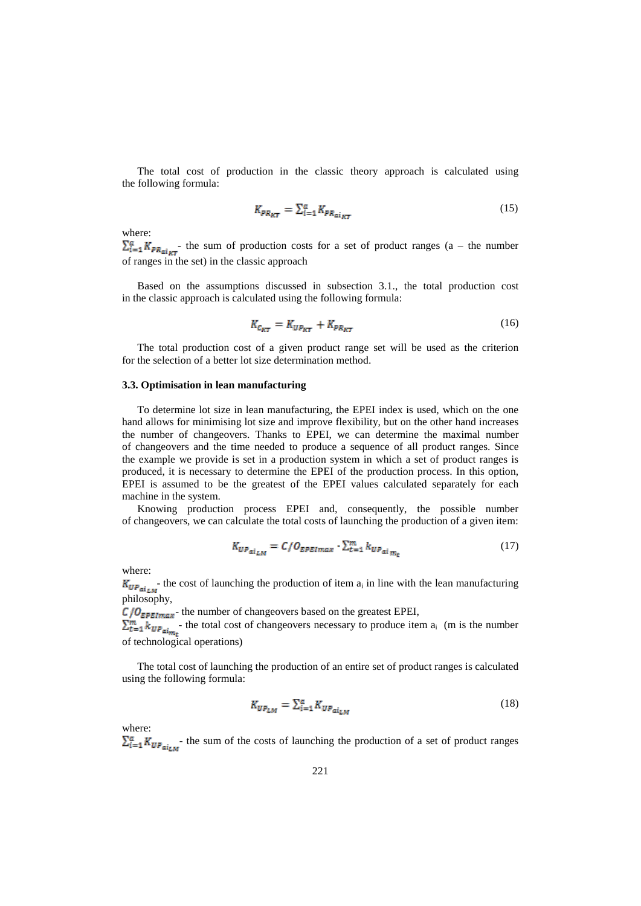The total cost of production in the classic theory approach is calculated using the following formula:

$$
K_{PR_{KT}} = \sum_{i=1}^{\alpha} K_{PR_{\alpha i_{KT}}} \tag{15}
$$

where:

 $\sum_{i=1}^{\alpha} K_{PR_{\text{air}}}$  the sum of production costs for a set of product ranges (a – the number of ranges in the set) in the classic approach

Based on the assumptions discussed in subsection 3.1., the total production cost in the classic approach is calculated using the following formula:

$$
K_{\mathcal{C}_{RT}} = K_{UP_{RT}} + K_{PR_{RT}} \tag{16}
$$

The total production cost of a given product range set will be used as the criterion for the selection of a better lot size determination method.

#### **3.3. Optimisation in lean manufacturing**

To determine lot size in lean manufacturing, the EPEI index is used, which on the one hand allows for minimising lot size and improve flexibility, but on the other hand increases the number of changeovers. Thanks to EPEI, we can determine the maximal number of changeovers and the time needed to produce a sequence of all product ranges. Since the example we provide is set in a production system in which a set of product ranges is produced, it is necessary to determine the EPEI of the production process. In this option, EPEI is assumed to be the greatest of the EPEI values calculated separately for each machine in the system.

Knowing production process EPEI and, consequently, the possible number of changeovers, we can calculate the total costs of launching the production of a given item:

$$
K_{UP_{\alpha i_{LM}}} = C/O_{EPEimax} \cdot \sum_{t=1}^{m} k_{UP_{\alpha i_{M_t}}} \tag{17}
$$

where:

 $K_{\text{UP}_{\alpha i_{LM}}}$  the cost of launching the production of item  $a_i$  in line with the lean manufacturing philosophy,

 $C/O_{EPEImax}$ - the number of changeovers based on the greatest EPEI,

 $\sum_{t=1}^{m} k_{U_{\text{max}}}$  the total cost of changeovers necessary to produce item  $a_i$  (m is the number of technological operations)

The total cost of launching the production of an entire set of product ranges is calculated using the following formula:

$$
K_{UP_{LM}} = \sum_{i=1}^{a} K_{UP_{\alpha i_{LM}}} \tag{18}
$$

where:

 $\sum_{i=1}^{a} K_{UP_{\text{air}}}$  the sum of the costs of launching the production of a set of product ranges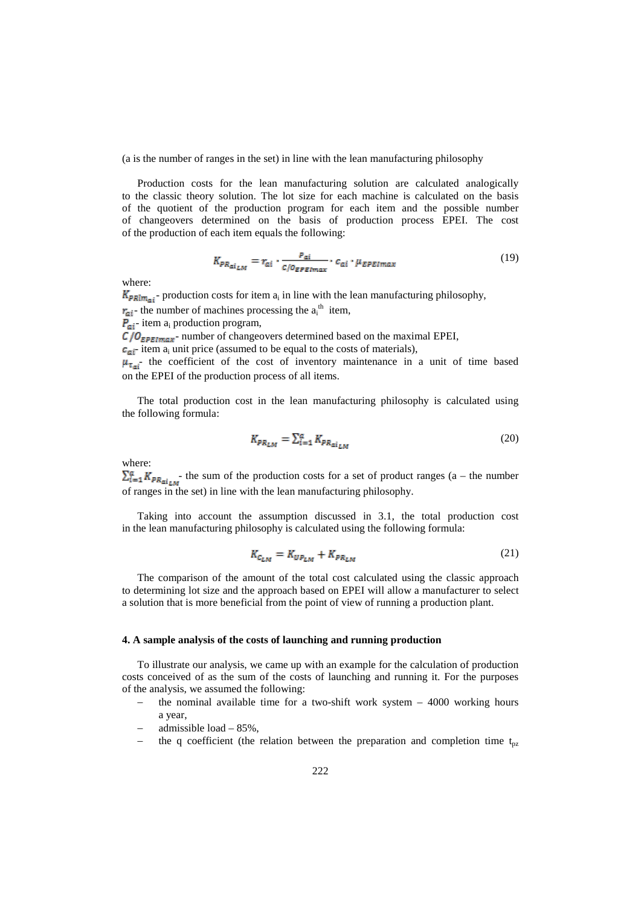(a is the number of ranges in the set) in line with the lean manufacturing philosophy

Production costs for the lean manufacturing solution are calculated analogically to the classic theory solution. The lot size for each machine is calculated on the basis of the quotient of the production program for each item and the possible number of changeovers determined on the basis of production process EPEI. The cost of the production of each item equals the following:

$$
K_{PR_{\alpha i_{LM}}} = r_{\alpha i} \cdot \frac{P_{\alpha i}}{c/\sigma_{EPE,max}} \cdot c_{\alpha i} \cdot \mu_{EPE,max}
$$
 (19)

where:

 $K_{\text{Pklm}_{\text{ref}}}$  production costs for item  $a_i$  in line with the lean manufacturing philosophy,

- the number of machines processing the  $a_i^{\text{th}}$  item,

 $P_{\alpha i}$ - item a<sub>i</sub> production program,

 $C/O$ <sub>EPEImper</sub>-number of changeovers determined based on the maximal EPEI,

 $\epsilon_{\text{min}}$  item a<sub>i</sub> unit price (assumed to be equal to the costs of materials),

 $\mu_{\tau_{\text{crit}}}$  the coefficient of the cost of inventory maintenance in a unit of time based on the EPEI of the production process of all items.

The total production cost in the lean manufacturing philosophy is calculated using the following formula:

$$
K_{PR_{LM}} = \sum_{i=1}^{a} K_{PR_{\alpha i_{LM}}} \tag{20}
$$

where:

 $\sum_{i=1}^{\alpha} K_{PR_{\text{diff}}}$  the sum of the production costs for a set of product ranges (a – the number of ranges in the set) in line with the lean manufacturing philosophy.

Taking into account the assumption discussed in 3.1, the total production cost in the lean manufacturing philosophy is calculated using the following formula:

$$
K_{\mathcal{L}_{LM}} = K_{UP_{LM}} + K_{PR_{LM}} \tag{21}
$$

The comparison of the amount of the total cost calculated using the classic approach to determining lot size and the approach based on EPEI will allow a manufacturer to select a solution that is more beneficial from the point of view of running a production plant.

# **4. A sample analysis of the costs of launching and running production**

To illustrate our analysis, we came up with an example for the calculation of production costs conceived of as the sum of the costs of launching and running it. For the purposes of the analysis, we assumed the following:

- the nominal available time for a two-shift work system  $-4000$  working hours a year,
- admissible load  $-85%$ .
- the q coefficient (the relation between the preparation and completion time  $t_{px}$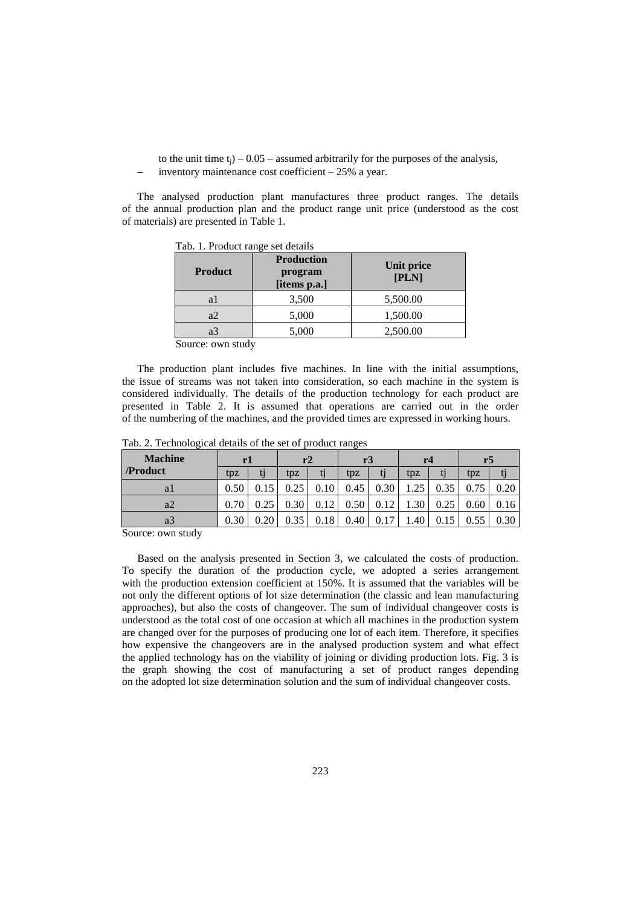to the unit time  $t_i$ ) – 0.05 – assumed arbitrarily for the purposes of the analysis, − inventory maintenance cost coefficient – 25% a year.

The analysed production plant manufactures three product ranges. The details of the annual production plan and the product range unit price (understood as the cost of materials) are presented in Table 1.

| <b>Product</b> | <b>Production</b><br>program<br>[items p.a.] | Unit price<br>[PLN] |  |  |
|----------------|----------------------------------------------|---------------------|--|--|
| a1             | 3,500                                        | 5,500.00            |  |  |
| a2             | 5,000                                        | 1,500.00            |  |  |
| a3             | 5,000                                        | 2,500.00            |  |  |

Tab. 1. Product range set details

Source: own study

The production plant includes five machines. In line with the initial assumptions, the issue of streams was not taken into consideration, so each machine in the system is considered individually. The details of the production technology for each product are presented in Table 2. It is assumed that operations are carried out in the order of the numbering of the machines, and the provided times are expressed in working hours.

Tab. 2. Technological details of the set of product ranges

| <b>Machine</b><br>/Product | rl              |  | r2   |      | r <sub>3</sub> |      | r <sub>4</sub> |      | r5   |                   |
|----------------------------|-----------------|--|------|------|----------------|------|----------------|------|------|-------------------|
|                            | t <sub>DZ</sub> |  | tpz  |      | tpz            |      | tpz            |      | tpz  |                   |
| a l                        | 0.50            |  |      |      | 0.45           | 0.30 | 1.25           | 0.35 | 0.75 | 0.20              |
| a2                         | 0.70            |  | 0.30 | 0.12 | 0.50           | 0.12 | 1.30           | 0.25 | 0.60 | 0.16              |
| a3                         | 0.30            |  |      | 0.18 | 0.40           |      | .40            |      |      | 0.30 <sub>1</sub> |
| Comment and the Jack       |                 |  |      |      |                |      |                |      |      |                   |

Source: own study

Based on the analysis presented in Section 3, we calculated the costs of production. To specify the duration of the production cycle, we adopted a series arrangement with the production extension coefficient at 150%. It is assumed that the variables will be not only the different options of lot size determination (the classic and lean manufacturing approaches), but also the costs of changeover. The sum of individual changeover costs is understood as the total cost of one occasion at which all machines in the production system are changed over for the purposes of producing one lot of each item. Therefore, it specifies how expensive the changeovers are in the analysed production system and what effect the applied technology has on the viability of joining or dividing production lots. Fig. 3 is the graph showing the cost of manufacturing a set of product ranges depending on the adopted lot size determination solution and the sum of individual changeover costs.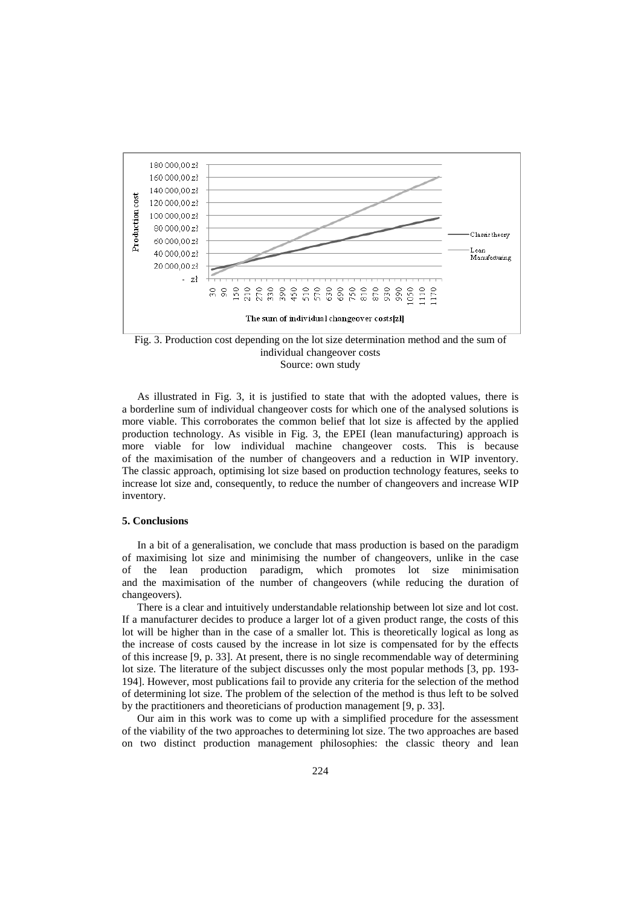



As illustrated in Fig. 3, it is justified to state that with the adopted values, there is a borderline sum of individual changeover costs for which one of the analysed solutions is more viable. This corroborates the common belief that lot size is affected by the applied production technology. As visible in Fig. 3, the EPEI (lean manufacturing) approach is more viable for low individual machine changeover costs. This is because of the maximisation of the number of changeovers and a reduction in WIP inventory. The classic approach, optimising lot size based on production technology features, seeks to increase lot size and, consequently, to reduce the number of changeovers and increase WIP inventory.

#### **5. Conclusions**

In a bit of a generalisation, we conclude that mass production is based on the paradigm of maximising lot size and minimising the number of changeovers, unlike in the case of the lean production paradigm, which promotes lot size minimisation and the maximisation of the number of changeovers (while reducing the duration of changeovers).

There is a clear and intuitively understandable relationship between lot size and lot cost. If a manufacturer decides to produce a larger lot of a given product range, the costs of this lot will be higher than in the case of a smaller lot. This is theoretically logical as long as the increase of costs caused by the increase in lot size is compensated for by the effects of this increase [9, p. 33]. At present, there is no single recommendable way of determining lot size. The literature of the subject discusses only the most popular methods [3, pp. 193- 194]. However, most publications fail to provide any criteria for the selection of the method of determining lot size. The problem of the selection of the method is thus left to be solved by the practitioners and theoreticians of production management [9, p. 33].

Our aim in this work was to come up with a simplified procedure for the assessment of the viability of the two approaches to determining lot size. The two approaches are based on two distinct production management philosophies: the classic theory and lean